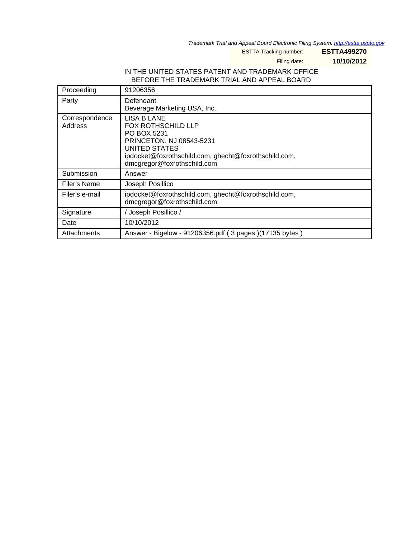Trademark Trial and Appeal Board Electronic Filing System. <http://estta.uspto.gov>

ESTTA Tracking number: **ESTTA499270**

Filing date: **10/10/2012**

#### IN THE UNITED STATES PATENT AND TRADEMARK OFFICE BEFORE THE TRADEMARK TRIAL AND APPEAL BOARD

| Proceeding                | 91206356                                                                                                                                                                                            |
|---------------------------|-----------------------------------------------------------------------------------------------------------------------------------------------------------------------------------------------------|
| Party                     | Defendant<br>Beverage Marketing USA, Inc.                                                                                                                                                           |
| Correspondence<br>Address | <b>LISA B LANE</b><br><b>FOX ROTHSCHILD LLP</b><br>PO BOX 5231<br>PRINCETON, NJ 08543-5231<br>UNITED STATES<br>ipdocket@foxrothschild.com, ghecht@foxrothschild.com,<br>dmcgregor@foxrothschild.com |
| Submission                | Answer                                                                                                                                                                                              |
| Filer's Name              | Joseph Posillico                                                                                                                                                                                    |
| Filer's e-mail            | ipdocket@foxrothschild.com, ghecht@foxrothschild.com,<br>dmcgregor@foxrothschild.com                                                                                                                |
| Signature                 | Joseph Posillico /                                                                                                                                                                                  |
| Date                      | 10/10/2012                                                                                                                                                                                          |
| Attachments               | Answer - Bigelow - 91206356.pdf (3 pages) (17135 bytes)                                                                                                                                             |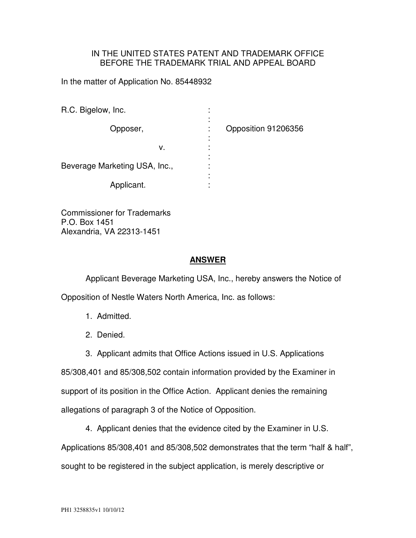### IN THE UNITED STATES PATENT AND TRADEMARK OFFICE BEFORE THE TRADEMARK TRIAL AND APPEAL BOARD

In the matter of Application No. 85448932

| R.C. Bigelow, Inc.            | ٠<br>٠ |                     |
|-------------------------------|--------|---------------------|
| Opposer,                      | ٠<br>٠ | Opposition 91206356 |
|                               |        |                     |
| ν.                            |        |                     |
|                               | ۰      |                     |
| Beverage Marketing USA, Inc., | ۰      |                     |
|                               | ۰      |                     |
| Applicant.                    |        |                     |

Commissioner for Trademarks P.O. Box 1451 Alexandria, VA 22313-1451

### **ANSWER**

 Applicant Beverage Marketing USA, Inc., hereby answers the Notice of Opposition of Nestle Waters North America, Inc. as follows:

- 1. Admitted.
- 2. Denied.
- 3. Applicant admits that Office Actions issued in U.S. Applications

85/308,401 and 85/308,502 contain information provided by the Examiner in support of its position in the Office Action. Applicant denies the remaining allegations of paragraph 3 of the Notice of Opposition.

4. Applicant denies that the evidence cited by the Examiner in U.S.

Applications 85/308,401 and 85/308,502 demonstrates that the term "half & half", sought to be registered in the subject application, is merely descriptive or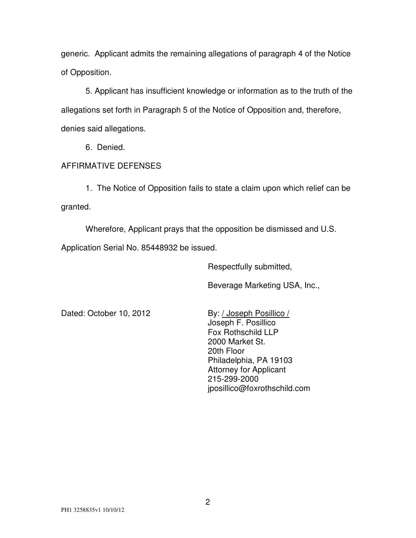generic. Applicant admits the remaining allegations of paragraph 4 of the Notice of Opposition.

5. Applicant has insufficient knowledge or information as to the truth of the allegations set forth in Paragraph 5 of the Notice of Opposition and, therefore, denies said allegations.

6. Denied.

# AFFIRMATIVE DEFENSES

1. The Notice of Opposition fails to state a claim upon which relief can be granted.

Wherefore, Applicant prays that the opposition be dismissed and U.S.

Application Serial No. 85448932 be issued.

Respectfully submitted,

Beverage Marketing USA, Inc.,

Dated: October 10, 2012 By: / Joseph Posillico /

 Joseph F. Posillico Fox Rothschild LLP 2000 Market St. 20th Floor Philadelphia, PA 19103 Attorney for Applicant 215-299-2000 jposillico@foxrothschild.com